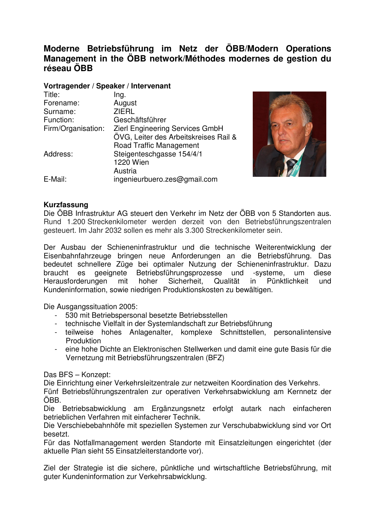# **Moderne Betriebsführung im Netz der ÖBB/Modern Operations Management in the ÖBB network/Méthodes modernes de gestion du réseau ÖBB**

### **Vortragender / Speaker / Intervenant**

| Title:             | Ing.                                  |
|--------------------|---------------------------------------|
| Forename:          | August                                |
| Surname:           | <b>ZIERL</b>                          |
| Function:          | Geschäftsführer                       |
| Firm/Organisation: | Zierl Engineering Services GmbH       |
|                    | ÖVG, Leiter des Arbeitskreises Rail & |
|                    | <b>Road Traffic Management</b>        |
| Address:           | Steigenteschgasse 154/4/1             |
|                    | 1220 Wien                             |
|                    | Austria                               |
| E-Mail:            | ingenieurbuero.zes@gmail.com          |



## **Kurzfassung**

Die ÖBB Infrastruktur AG steuert den Verkehr im Netz der ÖBB von 5 Standorten aus. Rund 1.200 Streckenkilometer werden derzeit von den Betriebsführungszentralen gesteuert. Im Jahr 2032 sollen es mehr als 3.300 Streckenkilometer sein.

Der Ausbau der Schieneninfrastruktur und die technische Weiterentwicklung der Eisenbahnfahrzeuge bringen neue Anforderungen an die Betriebsführung. Das bedeutet schnellere Züge bei optimaler Nutzung der Schieneninfrastruktur. Dazu braucht es geeignete Betriebsführungsprozesse und -systeme, um diese Herausforderungen mit hoher Sicherheit, Qualität in Pünktlichkeit und Kundeninformation, sowie niedrigen Produktionskosten zu bewältigen.

Die Ausgangssituation 2005:

- 530 mit Betriebspersonal besetzte Betriebsstellen
- technische Vielfalt in der Systemlandschaft zur Betriebsführung
- teilweise hohes Anlagenalter, komplexe Schnittstellen, personalintensive Produktion
- eine hohe Dichte an Elektronischen Stellwerken und damit eine gute Basis für die Vernetzung mit Betriebsführungszentralen (BFZ)

Das BFS – Konzept:

Die Einrichtung einer Verkehrsleitzentrale zur netzweiten Koordination des Verkehrs.

Fünf Betriebsführungszentralen zur operativen Verkehrsabwicklung am Kernnetz der ÖBB.

Die Betriebsabwicklung am Ergänzungsnetz erfolgt autark nach einfacheren betrieblichen Verfahren mit einfacherer Technik.

Die Verschiebebahnhöfe mit speziellen Systemen zur Verschubabwicklung sind vor Ort besetzt.

Für das Notfallmanagement werden Standorte mit Einsatzleitungen eingerichtet (der aktuelle Plan sieht 55 Einsatzleiterstandorte vor).

Ziel der Strategie ist die sichere, pünktliche und wirtschaftliche Betriebsführung, mit guter Kundeninformation zur Verkehrsabwicklung.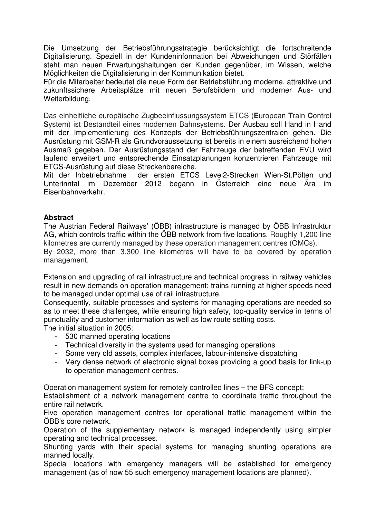Die Umsetzung der Betriebsführungsstrategie berücksichtigt die fortschreitende Digitalisierung. Speziell in der Kundeninformation bei Abweichungen und Störfällen steht man neuen Erwartungshaltungen der Kunden gegenüber, im Wissen, welche Möglichkeiten die Digitalisierung in der Kommunikation bietet.

Für die Mitarbeiter bedeutet die neue Form der Betriebsführung moderne, attraktive und zukunftssichere Arbeitsplätze mit neuen Berufsbildern und moderner Aus- und Weiterbildung.

Das einheitliche europäische Zugbeeinflussungssystem ETCS (**E**uropean **T**rain **C**ontrol **S**ystem) ist Bestandteil eines modernen Bahnsystems. Der Ausbau soll Hand in Hand mit der Implementierung des Konzepts der Betriebsführungszentralen gehen. Die Ausrüstung mit GSM-R als Grundvoraussetzung ist bereits in einem ausreichend hohen Ausmaß gegeben. Der Ausrüstungsstand der Fahrzeuge der betreffenden EVU wird laufend erweitert und entsprechende Einsatzplanungen konzentrieren Fahrzeuge mit ETCS-Ausrüstung auf diese Streckenbereiche.

Mit der Inbetriebnahme der ersten ETCS Level2-Strecken Wien-St.Pölten und Unterinntal im Dezember 2012 begann in Österreich eine neue Ära im Eisenbahnverkehr.

## **Abstract**

The Austrian Federal Railways' (ÖBB) infrastructure is managed by ÖBB Infrastruktur AG, which controls traffic within the ÖBB network from five locations. Roughly 1,200 line kilometres are currently managed by these operation management centres (OMCs).

By 2032, more than 3,300 line kilometres will have to be covered by operation management.

Extension and upgrading of rail infrastructure and technical progress in railway vehicles result in new demands on operation management: trains running at higher speeds need to be managed under optimal use of rail infrastructure.

Consequently, suitable processes and systems for managing operations are needed so as to meet these challenges, while ensuring high safety, top-quality service in terms of punctuality and customer information as well as low route setting costs.

The initial situation in 2005:

- 530 manned operating locations
- Technical diversity in the systems used for managing operations
- Some very old assets, complex interfaces, labour-intensive dispatching
- Very dense network of electronic signal boxes providing a good basis for link-up to operation management centres.

Operation management system for remotely controlled lines – the BFS concept:

Establishment of a network management centre to coordinate traffic throughout the entire rail network.

Five operation management centres for operational traffic management within the ÖBB's core network.

Operation of the supplementary network is managed independently using simpler operating and technical processes.

Shunting yards with their special systems for managing shunting operations are manned locally.

Special locations with emergency managers will be established for emergency management (as of now 55 such emergency management locations are planned).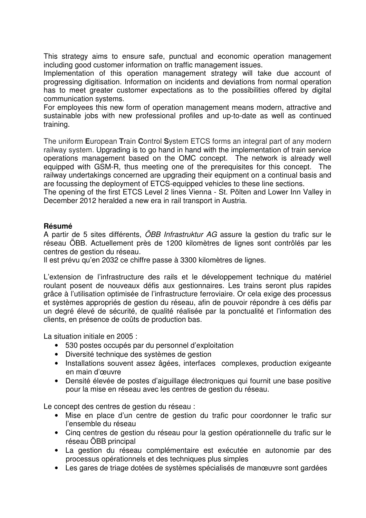This strategy aims to ensure safe, punctual and economic operation management including good customer information on traffic management issues.

Implementation of this operation management strategy will take due account of progressing digitisation. Information on incidents and deviations from normal operation has to meet greater customer expectations as to the possibilities offered by digital communication systems.

For employees this new form of operation management means modern, attractive and sustainable jobs with new professional profiles and up-to-date as well as continued training.

The uniform **E**uropean **T**rain **C**ontrol **S**ystem ETCS forms an integral part of any modern railway system. Upgrading is to go hand in hand with the implementation of train service operations management based on the OMC concept. The network is already well equipped with GSM-R, thus meeting one of the prerequisites for this concept. The railway undertakings concerned are upgrading their equipment on a continual basis and are focussing the deployment of ETCS-equipped vehicles to these line sections.

The opening of the first ETCS Level 2 lines Vienna - St. Pölten and Lower Inn Valley in December 2012 heralded a new era in rail transport in Austria.

## **Résumé**

A partir de 5 sites différents, ÖBB Infrastruktur AG assure la gestion du trafic sur le réseau ÖBB. Actuellement près de 1200 kilomètres de lignes sont contrôlés par les centres de gestion du réseau.

Il est prévu qu'en 2032 ce chiffre passe à 3300 kilomètres de lignes.

L'extension de l'infrastructure des rails et le développement technique du matériel roulant posent de nouveaux défis aux gestionnaires. Les trains seront plus rapides grâce à l'utilisation optimisée de l'infrastructure ferroviaire. Or cela exige des processus et systèmes appropriés de gestion du réseau, afin de pouvoir répondre à ces défis par un degré élevé de sécurité, de qualité réalisée par la ponctualité et l'information des clients, en présence de coûts de production bas.

La situation initiale en 2005 :

- 530 postes occupés par du personnel d'exploitation
- Diversité technique des systèmes de gestion
- Installations souvent assez âgées, interfaces complexes, production exigeante en main d'œuvre
- Densité élevée de postes d'aiguillage électroniques qui fournit une base positive pour la mise en réseau avec les centres de gestion du réseau.

Le concept des centres de gestion du réseau :

- Mise en place d'un centre de gestion du trafic pour coordonner le trafic sur l'ensemble du réseau
- Cinq centres de gestion du réseau pour la gestion opérationnelle du trafic sur le réseau ÖBB principal
- La gestion du réseau complémentaire est exécutée en autonomie par des processus opérationnels et des techniques plus simples
- Les gares de triage dotées de systèmes spécialisés de manœuvre sont gardées